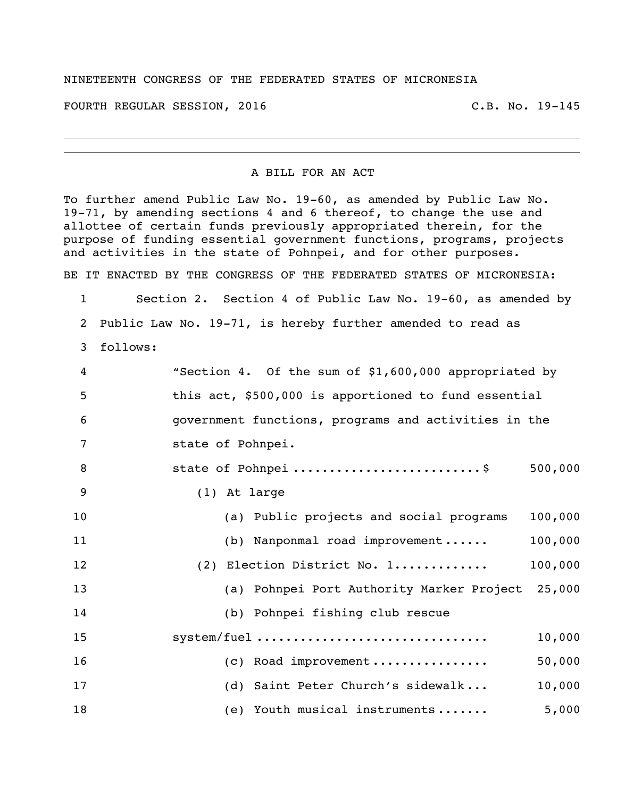## NINETEENTH CONGRESS OF THE FEDERATED STATES OF MICRONESIA

FOURTH REGULAR SESSION, 2016 C.B. No. 19-145

## A BILL FOR AN ACT

To further amend Public Law No. 19-60, as amended by Public Law No. 19-71, by amending sections 4 and 6 thereof, to change the use and allottee of certain funds previously appropriated therein, for the purpose of funding essential government functions, programs, projects and activities in the state of Pohnpei, and for other purposes. BE IT ENACTED BY THE CONGRESS OF THE FEDERATED STATES OF MICRONESIA:

 Section 2. Section 4 of Public Law No. 19-60, as amended by Public Law No. 19-71, is hereby further amended to read as follows:

| $\overline{4}$ | "Section 4. Of the sum of \$1,600,000 appropriated by |
|----------------|-------------------------------------------------------|
| 5              | this act, \$500,000 is apportioned to fund essential  |
| 6              | government functions, programs and activities in the  |
| 7              | state of Pohnpei.                                     |
| 8              | state of Pohnpei \$<br>500,000                        |
| 9              | (1) At large                                          |
| 10             | 100,000<br>(a) Public projects and social programs    |
| 11             | 100,000<br>(b) Nanponmal road improvement             |
| 12             | (2) Election District No. 1<br>100,000                |
| 13             | (a) Pohnpei Port Authority Marker Project<br>25,000   |
| 14             | (b) Pohnpei fishing club rescue                       |
| 15             | system/fuel<br>10,000                                 |
| 16             | (c) Road improvement<br>50,000                        |
| 17             | (d) Saint Peter Church's sidewalk<br>10,000           |
| 18             | 5,000<br>(e) Youth musical instruments                |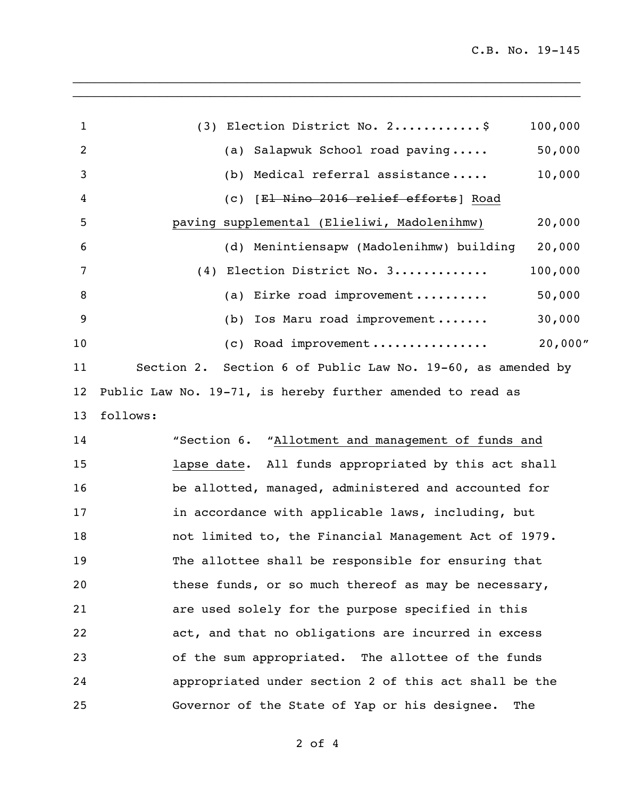| 1  | (3) Election District No. 2\$                               | 100,000 |
|----|-------------------------------------------------------------|---------|
| 2  | (a) Salapwuk School road paving                             | 50,000  |
| 3  | Medical referral assistance<br>(b)                          | 10,000  |
| 4  | (c) [El Nino 2016 relief efforts] Road                      |         |
| 5  | paving supplemental (Elieliwi, Madolenihmw)                 | 20,000  |
| 6  | (d) Menintiensapw (Madolenihmw) building                    | 20,000  |
| 7  | Election District No. 3<br>(4)                              | 100,000 |
| 8  | Eirke road improvement<br>(a)                               | 50,000  |
| 9  | Ios Maru road improvement<br>(b)                            | 30,000  |
| 10 | (c) Road improvement                                        | 20,000" |
| 11 | Section 2. Section 6 of Public Law No. 19-60, as amended by |         |
| 12 | Public Law No. 19-71, is hereby further amended to read as  |         |
| 13 | follows:                                                    |         |
| 14 | "Section 6. "Allotment and management of funds and          |         |
| 15 | lapse date. All funds appropriated by this act shall        |         |
| 16 | be allotted, managed, administered and accounted for        |         |
| 17 | in accordance with applicable laws, including, but          |         |
| 18 | not limited to, the Financial Management Act of 1979.       |         |
| 19 | The allottee shall be responsible for ensuring that         |         |
| 20 | these funds, or so much thereof as may be necessary,        |         |
| 21 | are used solely for the purpose specified in this           |         |
| 22 | act, and that no obligations are incurred in excess         |         |
| 23 | of the sum appropriated. The allottee of the funds          |         |
| 24 | appropriated under section 2 of this act shall be the       |         |
| 25 | Governor of the State of Yap or his designee.               | The     |

\_\_\_\_\_\_\_\_\_\_\_\_\_\_\_\_\_\_\_\_\_\_\_\_\_\_\_\_\_\_\_\_\_\_\_\_\_\_\_\_\_\_\_\_\_\_\_\_\_\_\_\_\_\_\_\_\_\_\_\_\_\_\_\_\_\_\_\_\_\_ \_\_\_\_\_\_\_\_\_\_\_\_\_\_\_\_\_\_\_\_\_\_\_\_\_\_\_\_\_\_\_\_\_\_\_\_\_\_\_\_\_\_\_\_\_\_\_\_\_\_\_\_\_\_\_\_\_\_\_\_\_\_\_\_\_\_\_\_\_\_

of 4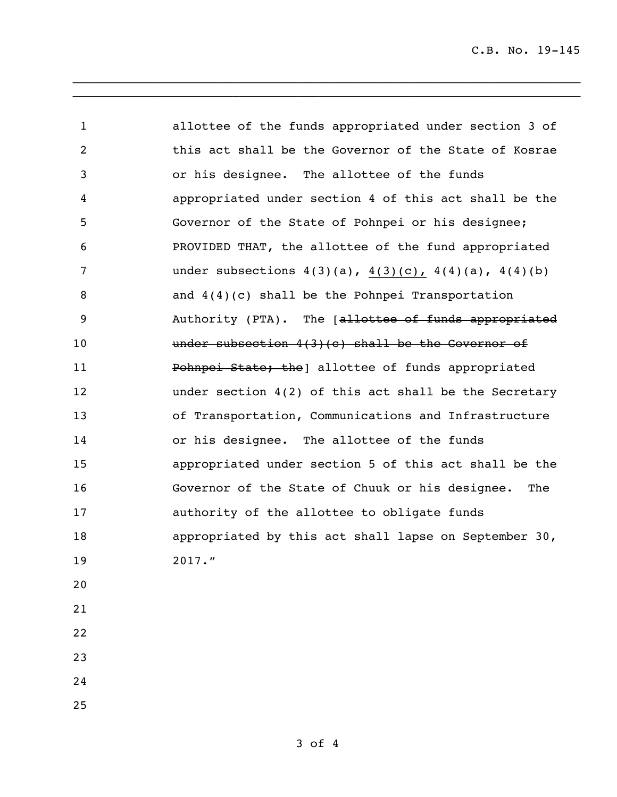C.B. No. 19-145

 allottee of the funds appropriated under section 3 of this act shall be the Governor of the State of Kosrae or his designee. The allottee of the funds appropriated under section 4 of this act shall be the Governor of the State of Pohnpei or his designee; PROVIDED THAT, the allottee of the fund appropriated under subsections 4(3)(a), 4(3)(c), 4(4)(a), 4(4)(b) and 4(4)(c) shall be the Pohnpei Transportation 9 Authority (PTA). The [allottee of funds appropriated **under subsection 4(3)(c) shall be the Governor of Pohnpei State; the** allottee of funds appropriated under section 4(2) of this act shall be the Secretary of Transportation, Communications and Infrastructure 14 or his designee. The allottee of the funds appropriated under section 5 of this act shall be the Governor of the State of Chuuk or his designee. The authority of the allottee to obligate funds appropriated by this act shall lapse on September 30, 2017." 

\_\_\_\_\_\_\_\_\_\_\_\_\_\_\_\_\_\_\_\_\_\_\_\_\_\_\_\_\_\_\_\_\_\_\_\_\_\_\_\_\_\_\_\_\_\_\_\_\_\_\_\_\_\_\_\_\_\_\_\_\_\_\_\_\_\_\_\_\_\_ \_\_\_\_\_\_\_\_\_\_\_\_\_\_\_\_\_\_\_\_\_\_\_\_\_\_\_\_\_\_\_\_\_\_\_\_\_\_\_\_\_\_\_\_\_\_\_\_\_\_\_\_\_\_\_\_\_\_\_\_\_\_\_\_\_\_\_\_\_\_